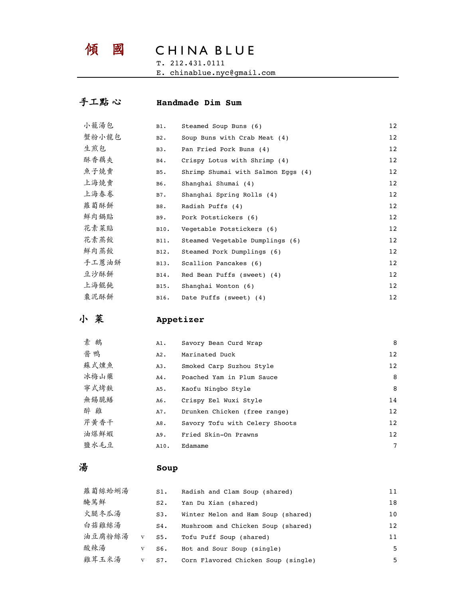# 傾 國 CHINA BLUE

T. 212.431.0111

E. chinablue.nyc@gmail.com

## 手工點 心 **Handmade Dim Sum**

| 小籠湯包  | $B1$ . | Steamed Soup Buns (6)              | 12 <sup>2</sup> |
|-------|--------|------------------------------------|-----------------|
| 蟹粉小龙包 | $B2$ . | Soup Buns with Crab Meat (4)       | 12              |
| 生煎包   | $B3$ . | Pan Fried Pork Buns (4)            | 12              |
| 酥香藕夾  | $B4$ . | Crispy Lotus with Shrimp (4)       | 12              |
| 魚子燒賣  | B5.    | Shrimp Shumai with Salmon Eggs (4) | 12              |
| 上海燒賣  | B6.    | Shanghai Shumai (4)                | 12              |
| 上海春卷  | $B7$ . | Shanghai Spring Rolls (4)          | 12              |
| 蘿蔔酥餅  | B8.    | Radish Puffs (4)                   | 12              |
| 鮮肉鍋貼  | B9.    | Pork Potstickers (6)               | 12              |
| 花素菜貼  | B10.   | Vegetable Potstickers (6)          | 12              |
| 花素蒸餃  | B11.   | Steamed Vegetable Dumplings (6)    | 12              |
| 鮮肉蒸餃  | B12.   | Steamed Pork Dumplings (6)         | 12              |
| 手工蔥油餅 | B13.   | Scallion Pancakes (6)              | 12              |
| 豆沙酥餅  | B14.   | Red Bean Puffs (sweet) (4)         | 12              |
| 上海餛飩  | B15.   | Shanghai Wonton (6)                | 12 <sup>2</sup> |
| 棗泥酥餅  | B16.   | Date Puffs (sweet) (4)             | 12 <sup>2</sup> |

# 小 菜 **Appetizer**

| 素<br>鵝 | A1.    | Savory Bean Curd Wrap          | 8  |
|--------|--------|--------------------------------|----|
| 酱鸭     | $A2$ . | Marinated Duck                 | 12 |
| 蘇式燻魚   | $A3$ . | Smoked Carp Suzhou Style       | 12 |
| 冰梅山藥   | $A4$ . | Poached Yam in Plum Sauce      | 8  |
| 寧式烤麩   | A5.    | Kaofu Ningbo Style             | 8  |
| 無錫脆鱔   | A6.    | Crispy Eel Wuxi Style          | 14 |
| 醉雞     | A7.    | Drunken Chicken (free range)   | 12 |
| 芹黄香干   | A8.    | Savory Tofu with Celery Shoots | 12 |
| 油爆鮮蝦   | A9.    | Fried Skin-On Prawns           | 12 |
| 鹽水毛豆   | A10.   | Edamame                        | 7  |

## 湯 **Soup**

| 蘿蔔絲蛤蜊湯 |              | $S1$ .    | Radish and Clam Soup (shared)       | 11                |
|--------|--------------|-----------|-------------------------------------|-------------------|
| 醃篤鮮    |              | S2.       | Yan Du Xian (shared)                | 18                |
| 火腿冬瓜湯  |              | S3.       | Winter Melon and Ham Soup (shared)  | 10                |
| 白菇雞絲湯  |              | $S4$ .    | Mushroom and Chicken Soup (shared)  | $12 \overline{ }$ |
| 油豆腐粉絲湯 |              | $V$ $S5.$ | Tofu Puff Soup (shared)             | 11                |
| 酸辣湯    | V            | S6.       | Hot and Sour Soup (single)          | .5                |
| 雞茸玉米湯  | $\mathbf{V}$ | S7.       | Corn Flavored Chicken Soup (single) | 5.                |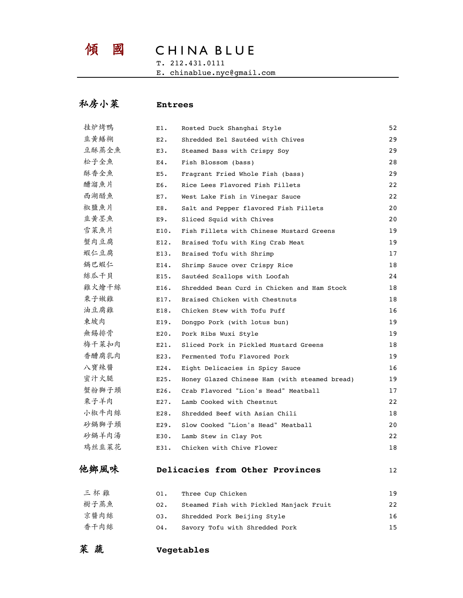# 傾 國 CHINA BLUE

T. 212.431.0111

E. chinablue.nyc@gmail.com

## 私房小菜 **Entrees**

| 三杯雞   | 01.     | Three Cup Chicken                             | 19 |
|-------|---------|-----------------------------------------------|----|
| 他鄉風味  |         | Delicacies from Other Provinces               | 12 |
| 鸡丝韭菜花 | E31.    | Chicken with Chive Flower                     | 18 |
| 砂鍋羊肉湯 | E30.    | Lamb Stew in Clay Pot                         | 22 |
| 砂鍋獅子頭 | E29.    | Slow Cooked "Lion's Head" Meatball            | 20 |
| 小椒牛肉絲 | E28.    | Shredded Beef with Asian Chili                | 18 |
| 栗子羊肉  | E27.    | Lamb Cooked with Chestnut                     | 22 |
| 蟹粉獅子頭 | $E26$ . | Crab Flavored "Lion's Head" Meatball          | 17 |
| 蜜汁火腿  | E25.    | Honey Glazed Chinese Ham (with steamed bread) | 19 |
| 八寶辣醬  | E24.    | Eight Delicacies in Spicy Sauce               | 16 |
| 香醋腐乳肉 | E23.    | Fermented Tofu Flavored Pork                  | 19 |
| 梅干菜扣肉 | E21.    | Sliced Pork in Pickled Mustard Greens         | 18 |
| 無錫排骨  | $E20$ . | Pork Ribs Wuxi Style                          | 19 |
| 東坡肉   | E19.    | Dongpo Pork (with lotus bun)                  | 19 |
| 油豆腐雞  | E18.    | Chicken Stew with Tofu Puff                   | 16 |
| 栗子嫩雞  | E17.    | Braised Chicken with Chestnuts                | 18 |
| 雞火燴干絲 | E16.    | Shredded Bean Curd in Chicken and Ham Stock   | 18 |
| 絲瓜干貝  | E15.    | Sautéed Scallops with Loofah                  | 24 |
| 鍋巴蝦仁  | E14.    | Shrimp Sauce over Crispy Rice                 | 18 |
| 蝦仁豆腐  | E13.    | Braised Tofu with Shrimp                      | 17 |
| 蟹肉豆腐  | E12.    | Braised Tofu with King Crab Meat              | 19 |
| 雪菜魚片  | E10.    | Fish Fillets with Chinese Mustard Greens      | 19 |
| 韭黄墨魚  | E9.     | Sliced Squid with Chives                      | 20 |
| 椒鹽魚片  | E8.     | Salt and Pepper flavored Fish Fillets         | 20 |
| 西湖醋魚  | $E7$ .  | West Lake Fish in Vinegar Sauce               | 22 |
| 醋溜魚片  | E6.     | Rice Lees Flavored Fish Fillets               | 22 |
| 酥香全魚  | E5.     | Fragrant Fried Whole Fish (bass)              | 29 |
| 松子全魚  | $E4$ .  | Fish Blossom (bass)                           | 28 |
| 豆酥蒸全魚 | $E3$ .  | Steamed Bass with Crispy Soy                  | 29 |
| 韭黄鱔糊  | $E2$ .  | Shredded Eel Sautéed with Chives              | 29 |
| 挂炉烤鴨  | Е1.     | Rosted Duck Shanghai Style                    | 52 |

| $ \gamma$ $\gamma$<br>◡--- | Intee cup chicken                       | <b>I</b> |
|----------------------------|-----------------------------------------|----------|
| 樹子蒸魚<br>02.                | Steamed Fish with Pickled Manjack Fruit | 22       |
| 京醬肉絲<br>03.                | Shredded Pork Beijing Style             | 16       |
| 香干肉絲<br>04.                | Savory Tofu with Shredded Pork          | 15.      |

菜 蔬 **Vegetables**